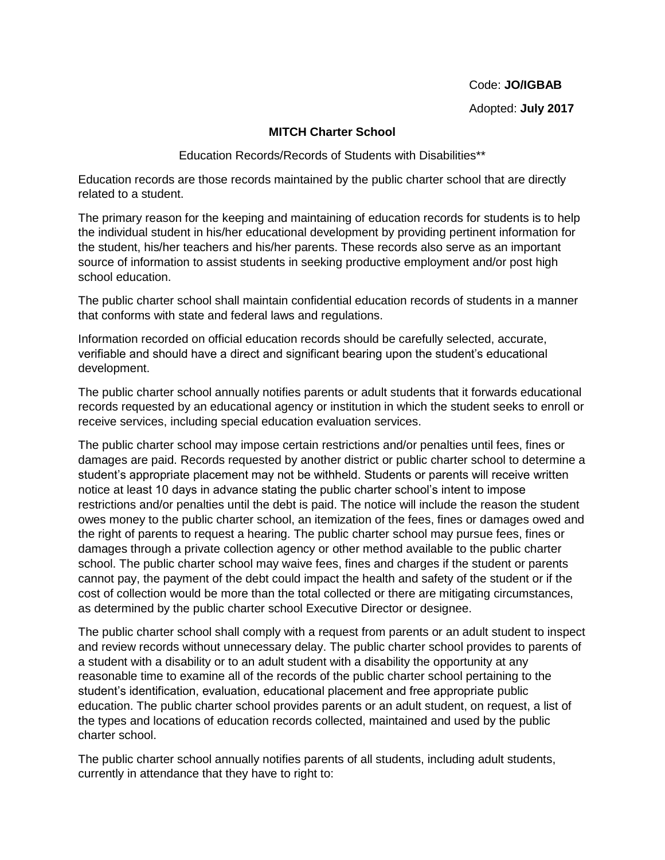Code: **JO/IGBAB**

Adopted: **July 2017**

## **MITCH Charter School**

Education Records/Records of Students with Disabilities\*\*

Education records are those records maintained by the public charter school that are directly related to a student.

The primary reason for the keeping and maintaining of education records for students is to help the individual student in his/her educational development by providing pertinent information for the student, his/her teachers and his/her parents. These records also serve as an important source of information to assist students in seeking productive employment and/or post high school education.

The public charter school shall maintain confidential education records of students in a manner that conforms with state and federal laws and regulations.

Information recorded on official education records should be carefully selected, accurate, verifiable and should have a direct and significant bearing upon the student's educational development.

The public charter school annually notifies parents or adult students that it forwards educational records requested by an educational agency or institution in which the student seeks to enroll or receive services, including special education evaluation services.

The public charter school may impose certain restrictions and/or penalties until fees, fines or damages are paid. Records requested by another district or public charter school to determine a student's appropriate placement may not be withheld. Students or parents will receive written notice at least 10 days in advance stating the public charter school's intent to impose restrictions and/or penalties until the debt is paid. The notice will include the reason the student owes money to the public charter school, an itemization of the fees, fines or damages owed and the right of parents to request a hearing. The public charter school may pursue fees, fines or damages through a private collection agency or other method available to the public charter school. The public charter school may waive fees, fines and charges if the student or parents cannot pay, the payment of the debt could impact the health and safety of the student or if the cost of collection would be more than the total collected or there are mitigating circumstances, as determined by the public charter school Executive Director or designee.

The public charter school shall comply with a request from parents or an adult student to inspect and review records without unnecessary delay. The public charter school provides to parents of a student with a disability or to an adult student with a disability the opportunity at any reasonable time to examine all of the records of the public charter school pertaining to the student's identification, evaluation, educational placement and free appropriate public education. The public charter school provides parents or an adult student, on request, a list of the types and locations of education records collected, maintained and used by the public charter school.

The public charter school annually notifies parents of all students, including adult students, currently in attendance that they have to right to: